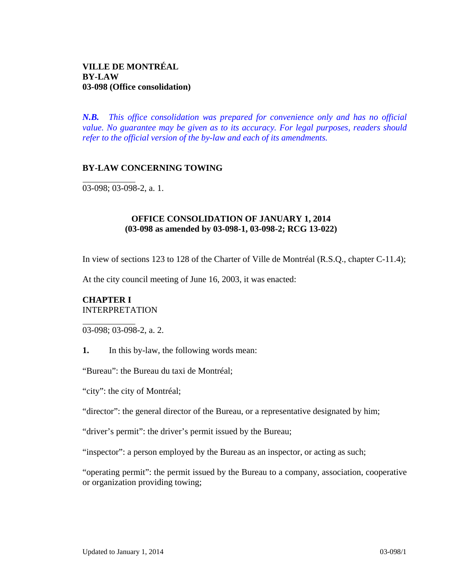*N.B. This office consolidation was prepared for convenience only and has no official value. No guarantee may be given as to its accuracy. For legal purposes, readers should refer to the official version of the by-law and each of its amendments.*

## **BY-LAW CONCERNING TOWING**

03-098; 03-098-2, a. 1.

 $\overline{a}$ 

 $\overline{a}$ 

## **OFFICE CONSOLIDATION OF JANUARY 1, 2014 (03-098 as amended by 03-098-1, 03-098-2; RCG 13-022)**

In view of sections 123 to 128 of the Charter of Ville de Montréal (R.S.Q., chapter C-11.4);

At the city council meeting of June 16, 2003, it was enacted:

## **CHAPTER I**  INTERPRETATION

03-098; 03-098-2, a. 2.

**1.** In this by-law, the following words mean:

"Bureau": the Bureau du taxi de Montréal;

"city": the city of Montréal;

"director": the general director of the Bureau, or a representative designated by him;

"driver's permit": the driver's permit issued by the Bureau;

"inspector": a person employed by the Bureau as an inspector, or acting as such;

"operating permit": the permit issued by the Bureau to a company, association, cooperative or organization providing towing;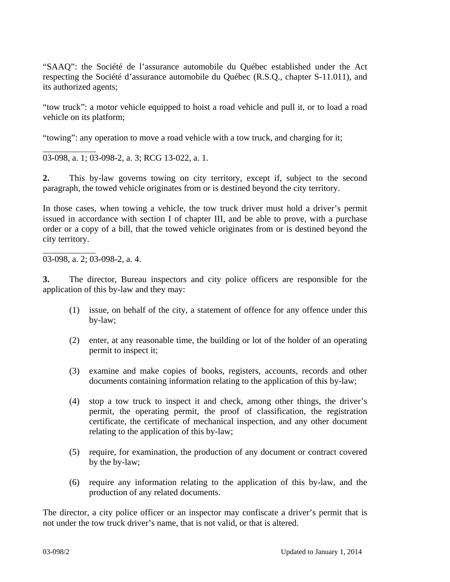"SAAQ": the Société de l'assurance automobile du Québec established under the Act respecting the Société d'assurance automobile du Québec (R.S.Q., chapter S-11.011), and its authorized agents;

"tow truck": a motor vehicle equipped to hoist a road vehicle and pull it, or to load a road vehicle on its platform;

"towing": any operation to move a road vehicle with a tow truck, and charging for it;

03-098, a. 1; 03-098-2, a. 3; RCG 13-022, a. 1.

**2.** This by-law governs towing on city territory, except if, subject to the second paragraph, the towed vehicle originates from or is destined beyond the city territory.

In those cases, when towing a vehicle, the tow truck driver must hold a driver's permit issued in accordance with section I of chapter III, and be able to prove, with a purchase order or a copy of a bill, that the towed vehicle originates from or is destined beyond the city territory.

03-098, a. 2; 03-098-2, a. 4.

l

l

**3.** The director, Bureau inspectors and city police officers are responsible for the application of this by-law and they may:

- (1) issue, on behalf of the city, a statement of offence for any offence under this by-law;
- (2) enter, at any reasonable time, the building or lot of the holder of an operating permit to inspect it;
- (3) examine and make copies of books, registers, accounts, records and other documents containing information relating to the application of this by-law;
- (4) stop a tow truck to inspect it and check, among other things, the driver's permit, the operating permit, the proof of classification, the registration certificate, the certificate of mechanical inspection, and any other document relating to the application of this by-law;
- (5) require, for examination, the production of any document or contract covered by the by-law;
- (6) require any information relating to the application of this by-law, and the production of any related documents.

The director, a city police officer or an inspector may confiscate a driver's permit that is not under the tow truck driver's name, that is not valid, or that is altered.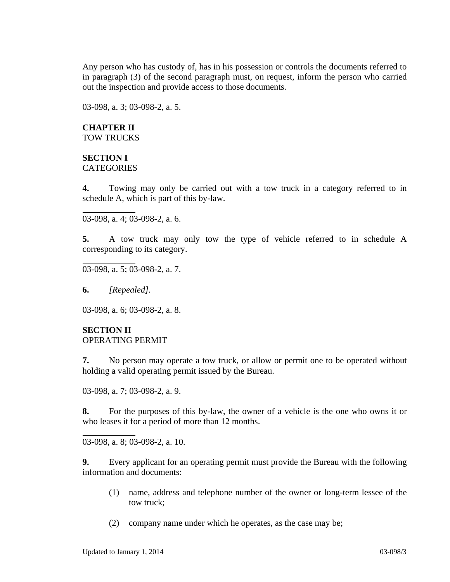Any person who has custody of, has in his possession or controls the documents referred to in paragraph (3) of the second paragraph must, on request, inform the person who carried out the inspection and provide access to those documents.

03-098, a. 3; 03-098-2, a. 5.

### **CHAPTER II**  TOW TRUCKS

 $\overline{a}$ 

 $\overline{a}$ 

 $\overline{a}$ 

 $\overline{a}$ 

 $\overline{a}$ 

 $\overline{a}$ 

# **SECTION I**

**CATEGORIES** 

**4.** Towing may only be carried out with a tow truck in a category referred to in schedule A, which is part of this by-law.

03-098, a. 4; 03-098-2, a. 6.

**5.** A tow truck may only tow the type of vehicle referred to in schedule A corresponding to its category.

03-098, a. 5; 03-098-2, a. 7.

**6.** *[Repealed].*

03-098, a. 6; 03-098-2, a. 8.

## **SECTION II**  OPERATING PERMIT

**7.** No person may operate a tow truck, or allow or permit one to be operated without holding a valid operating permit issued by the Bureau.

03-098, a. 7; 03-098-2, a. 9.

**8.** For the purposes of this by-law, the owner of a vehicle is the one who owns it or who leases it for a period of more than 12 months.

03-098, a. 8; 03-098-2, a. 10.

**9.** Every applicant for an operating permit must provide the Bureau with the following information and documents:

- (1) name, address and telephone number of the owner or long-term lessee of the tow truck;
- (2) company name under which he operates, as the case may be;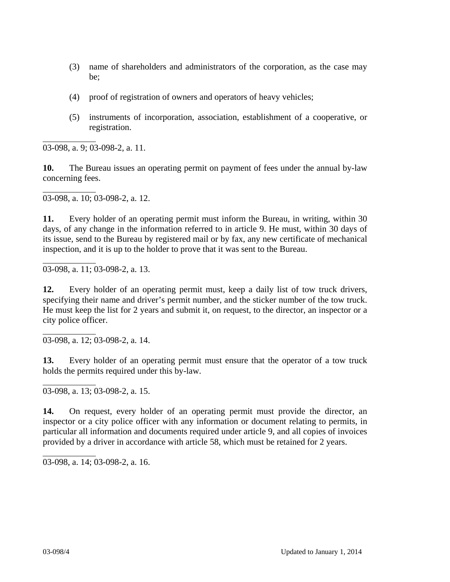- (3) name of shareholders and administrators of the corporation, as the case may be;
- (4) proof of registration of owners and operators of heavy vehicles;
- (5) instruments of incorporation, association, establishment of a cooperative, or registration.

 $\overline{a}$ 03-098, a. 9; 03-098-2, a. 11.

**10.** The Bureau issues an operating permit on payment of fees under the annual by-law concerning fees.

l 03-098, a. 10; 03-098-2, a. 12.

**11.** Every holder of an operating permit must inform the Bureau, in writing, within 30 days, of any change in the information referred to in article 9. He must, within 30 days of its issue, send to the Bureau by registered mail or by fax, any new certificate of mechanical inspection, and it is up to the holder to prove that it was sent to the Bureau.

03-098, a. 11; 03-098-2, a. 13.

l

**12.** Every holder of an operating permit must, keep a daily list of tow truck drivers, specifying their name and driver's permit number, and the sticker number of the tow truck. He must keep the list for 2 years and submit it, on request, to the director, an inspector or a city police officer.

 $\overline{a}$ 03-098, a. 12; 03-098-2, a. 14.

**13.** Every holder of an operating permit must ensure that the operator of a tow truck holds the permits required under this by-law.

 $\overline{a}$ 03-098, a. 13; 03-098-2, a. 15.

**14.** On request, every holder of an operating permit must provide the director, an inspector or a city police officer with any information or document relating to permits, in particular all information and documents required under article 9, and all copies of invoices provided by a driver in accordance with article 58, which must be retained for 2 years.

03-098, a. 14; 03-098-2, a. 16.

l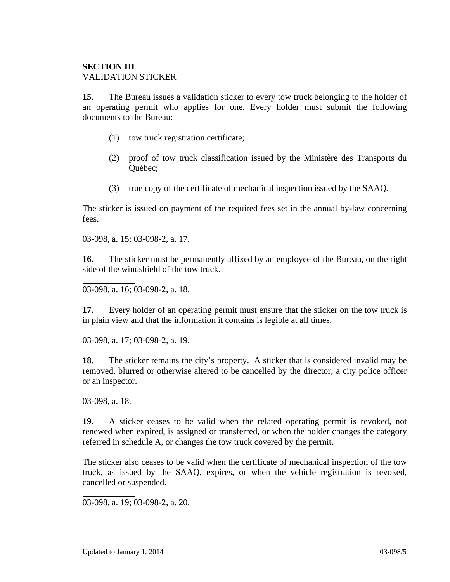## **SECTION III**  VALIDATION STICKER

**15.** The Bureau issues a validation sticker to every tow truck belonging to the holder of an operating permit who applies for one. Every holder must submit the following documents to the Bureau:

- (1) tow truck registration certificate;
- (2) proof of tow truck classification issued by the Ministère des Transports du Québec;
- (3) true copy of the certificate of mechanical inspection issued by the SAAQ.

The sticker is issued on payment of the required fees set in the annual by-law concerning fees.

03-098, a. 15; 03-098-2, a. 17.

 $\overline{a}$ 

 $\overline{a}$ 

 $\overline{a}$ 

 $\overline{a}$ 

 $\overline{a}$ 

**16.** The sticker must be permanently affixed by an employee of the Bureau, on the right side of the windshield of the tow truck.

03-098, a. 16; 03-098-2, a. 18.

**17.** Every holder of an operating permit must ensure that the sticker on the tow truck is in plain view and that the information it contains is legible at all times.

03-098, a. 17; 03-098-2, a. 19.

**18.** The sticker remains the city's property. A sticker that is considered invalid may be removed, blurred or otherwise altered to be cancelled by the director, a city police officer or an inspector.

03-098, a. 18.

**19.** A sticker ceases to be valid when the related operating permit is revoked, not renewed when expired, is assigned or transferred, or when the holder changes the category referred in schedule A, or changes the tow truck covered by the permit.

The sticker also ceases to be valid when the certificate of mechanical inspection of the tow truck, as issued by the SAAQ, expires, or when the vehicle registration is revoked, cancelled or suspended.

03-098, a. 19; 03-098-2, a. 20.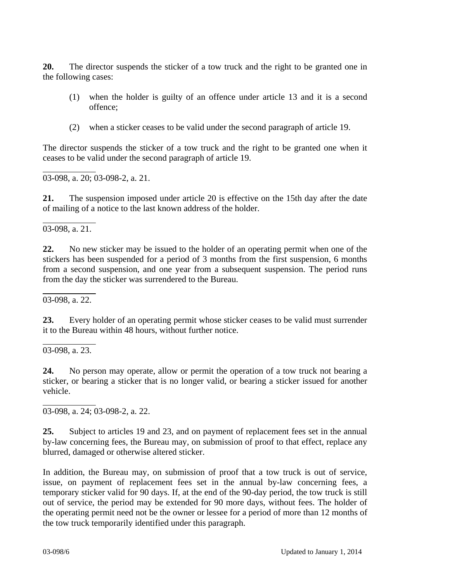**20.** The director suspends the sticker of a tow truck and the right to be granted one in the following cases:

- (1) when the holder is guilty of an offence under article 13 and it is a second offence;
- (2) when a sticker ceases to be valid under the second paragraph of article 19.

The director suspends the sticker of a tow truck and the right to be granted one when it ceases to be valid under the second paragraph of article 19.

 $\overline{a}$ 03-098, a. 20; 03-098-2, a. 21.

**21.** The suspension imposed under article 20 is effective on the 15th day after the date of mailing of a notice to the last known address of the holder.

 $\overline{a}$ 03-098, a. 21.

**22.** No new sticker may be issued to the holder of an operating permit when one of the stickers has been suspended for a period of 3 months from the first suspension, 6 months from a second suspension, and one year from a subsequent suspension. The period runs from the day the sticker was surrendered to the Bureau.

l 03-098, a. 22.

**23.** Every holder of an operating permit whose sticker ceases to be valid must surrender it to the Bureau within 48 hours, without further notice.

l 03-098, a. 23.

l

**24.** No person may operate, allow or permit the operation of a tow truck not bearing a sticker, or bearing a sticker that is no longer valid, or bearing a sticker issued for another vehicle.

03-098, a. 24; 03-098-2, a. 22.

**25.** Subject to articles 19 and 23, and on payment of replacement fees set in the annual by-law concerning fees, the Bureau may, on submission of proof to that effect, replace any blurred, damaged or otherwise altered sticker.

In addition, the Bureau may, on submission of proof that a tow truck is out of service, issue, on payment of replacement fees set in the annual by-law concerning fees, a temporary sticker valid for 90 days. If, at the end of the 90-day period, the tow truck is still out of service, the period may be extended for 90 more days, without fees. The holder of the operating permit need not be the owner or lessee for a period of more than 12 months of the tow truck temporarily identified under this paragraph.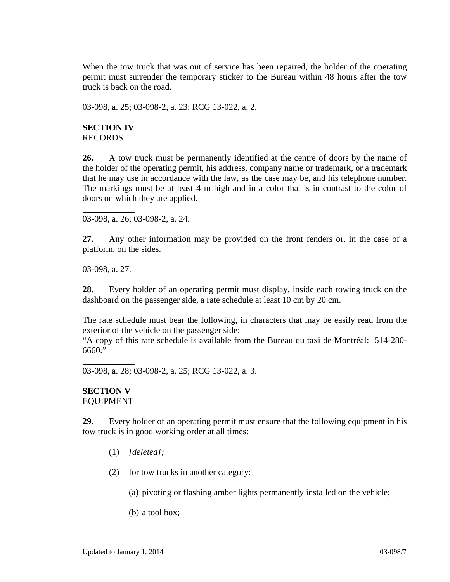When the tow truck that was out of service has been repaired, the holder of the operating permit must surrender the temporary sticker to the Bureau within 48 hours after the tow truck is back on the road.

03-098, a. 25; 03-098-2, a. 23; RCG 13-022, a. 2.

### **SECTION IV**  RECORDS

 $\overline{a}$ 

 $\overline{a}$ 

 $\overline{a}$ 

 $\overline{a}$ 

**26.** A tow truck must be permanently identified at the centre of doors by the name of the holder of the operating permit, his address, company name or trademark, or a trademark that he may use in accordance with the law, as the case may be, and his telephone number. The markings must be at least 4 m high and in a color that is in contrast to the color of doors on which they are applied.

03-098, a. 26; 03-098-2, a. 24.

**27.** Any other information may be provided on the front fenders or, in the case of a platform, on the sides.

03-098, a. 27.

**28.** Every holder of an operating permit must display, inside each towing truck on the dashboard on the passenger side, a rate schedule at least 10 cm by 20 cm.

The rate schedule must bear the following, in characters that may be easily read from the exterior of the vehicle on the passenger side:

"A copy of this rate schedule is available from the Bureau du taxi de Montréal: 514-280- 6660."

03-098, a. 28; 03-098-2, a. 25; RCG 13-022, a. 3.

### **SECTION V**  EQUIPMENT

**29.** Every holder of an operating permit must ensure that the following equipment in his tow truck is in good working order at all times:

- (1) *[deleted];*
- (2) for tow trucks in another category:
	- (a) pivoting or flashing amber lights permanently installed on the vehicle;
	- (b) a tool box;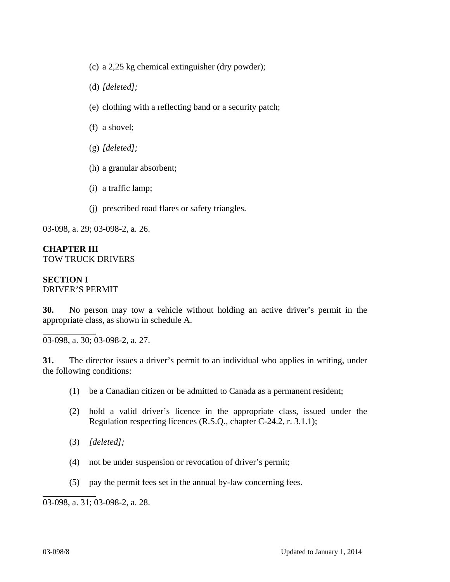- (c) a 2,25 kg chemical extinguisher (dry powder);
- (d) *[deleted];*
- (e) clothing with a reflecting band or a security patch;
- (f) a shovel;
- (g) *[deleted];*
- (h) a granular absorbent;
- (i) a traffic lamp;
- (j) prescribed road flares or safety triangles.

03-098, a. 29; 03-098-2, a. 26.

## **CHAPTER III**  TOW TRUCK DRIVERS

# **SECTION I**

 $\overline{a}$ 

 $\overline{a}$ 

DRIVER'S PERMIT

**30.** No person may tow a vehicle without holding an active driver's permit in the appropriate class, as shown in schedule A.

03-098, a. 30; 03-098-2, a. 27.

**31.** The director issues a driver's permit to an individual who applies in writing, under the following conditions:

- (1) be a Canadian citizen or be admitted to Canada as a permanent resident;
- (2) hold a valid driver's licence in the appropriate class, issued under the Regulation respecting licences (R.S.Q., chapter C-24.2, r. 3.1.1);
- (3) *[deleted];*
- (4) not be under suspension or revocation of driver's permit;
- (5) pay the permit fees set in the annual by-law concerning fees.

03-098, a. 31; 03-098-2, a. 28.

l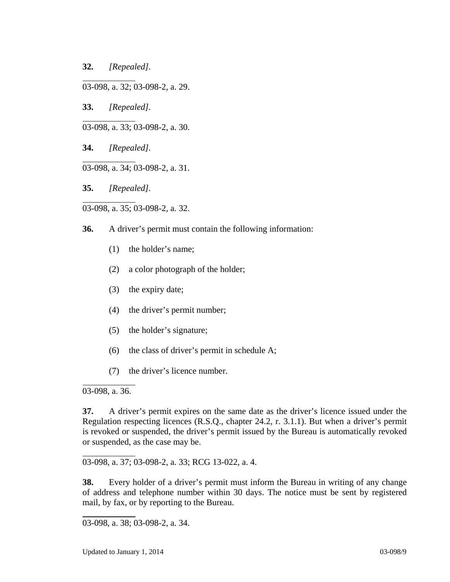**32.** *[Repealed].*

 $\overline{a}$ 

 $\overline{a}$ 

 $\overline{a}$ 

 $\overline{a}$ 

03-098, a. 32; 03-098-2, a. 29.

**33.** *[Repealed].*

03-098, a. 33; 03-098-2, a. 30.

**34.** *[Repealed].* 

03-098, a. 34; 03-098-2, a. 31.

**35.** *[Repealed].* 

03-098, a. 35; 03-098-2, a. 32.

**36.** A driver's permit must contain the following information:

- (1) the holder's name;
- (2) a color photograph of the holder;
- (3) the expiry date;
- (4) the driver's permit number;
- (5) the holder's signature;
- (6) the class of driver's permit in schedule A;
- (7) the driver's licence number.

03-098, a. 36.

 $\overline{a}$ 

 $\overline{a}$ 

 $\overline{a}$ 

**37.** A driver's permit expires on the same date as the driver's licence issued under the Regulation respecting licences (R.S.Q., chapter 24.2, r. 3.1.1). But when a driver's permit is revoked or suspended, the driver's permit issued by the Bureau is automatically revoked or suspended, as the case may be.

03-098, a. 37; 03-098-2, a. 33; RCG 13-022, a. 4.

**38.** Every holder of a driver's permit must inform the Bureau in writing of any change of address and telephone number within 30 days. The notice must be sent by registered mail, by fax, or by reporting to the Bureau.

<sup>03-098,</sup> a. 38; 03-098-2, a. 34.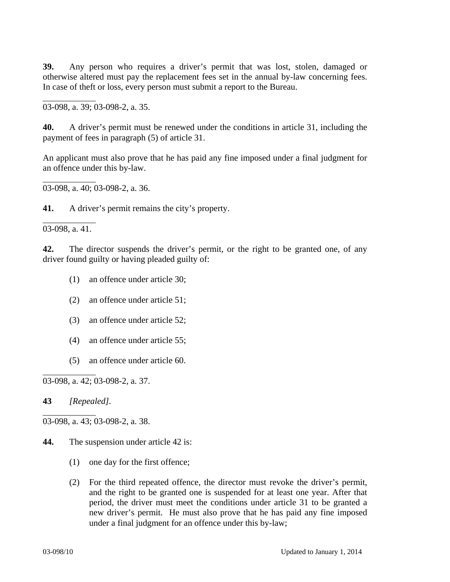**39.** Any person who requires a driver's permit that was lost, stolen, damaged or otherwise altered must pay the replacement fees set in the annual by-law concerning fees. In case of theft or loss, every person must submit a report to the Bureau.

03-098, a. 39; 03-098-2, a. 35.

**40.** A driver's permit must be renewed under the conditions in article 31, including the payment of fees in paragraph (5) of article 31.

An applicant must also prove that he has paid any fine imposed under a final judgment for an offence under this by-law.

03-098, a. 40; 03-098-2, a. 36.

**41.** A driver's permit remains the city's property.

03-098, a. 41.

 $\overline{a}$ 

 $\overline{a}$ 

 $\overline{a}$ 

 $\overline{a}$ 

 $\overline{a}$ 

**42.** The director suspends the driver's permit, or the right to be granted one, of any driver found guilty or having pleaded guilty of:

- (1) an offence under article 30;
- (2) an offence under article 51;
- (3) an offence under article 52;
- (4) an offence under article 55;
- (5) an offence under article 60.

03-098, a. 42; 03-098-2, a. 37.

**43** *[Repealed].* 

03-098, a. 43; 03-098-2, a. 38.

- **44.** The suspension under article 42 is:
	- (1) one day for the first offence;
	- (2) For the third repeated offence, the director must revoke the driver's permit, and the right to be granted one is suspended for at least one year. After that period, the driver must meet the conditions under article 31 to be granted a new driver's permit. He must also prove that he has paid any fine imposed under a final judgment for an offence under this by-law;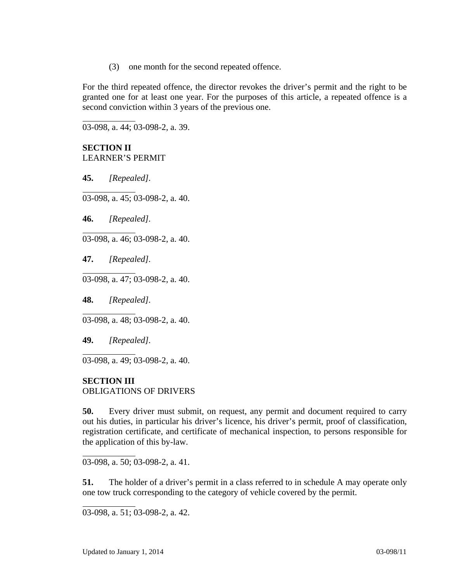(3) one month for the second repeated offence.

For the third repeated offence, the director revokes the driver's permit and the right to be granted one for at least one year. For the purposes of this article, a repeated offence is a second conviction within 3 years of the previous one.

03-098, a. 44; 03-098-2, a. 39.

# **SECTION II**  LEARNER'S PERMIT

**45.** *[Repealed].* 

 $\overline{a}$ 

 $\overline{a}$ 

 $\overline{a}$ 

 $\overline{a}$ 

 $\overline{a}$ 

 $\overline{a}$ 

 $\overline{a}$ 

 $\overline{a}$ 03-098, a. 45; 03-098-2, a. 40.

**46.** *[Repealed].* 

03-098, a. 46; 03-098-2, a. 40.

**47.** *[Repealed].* 

03-098, a. 47; 03-098-2, a. 40.

**48.** *[Repealed].* 

03-098, a. 48; 03-098-2, a. 40.

**49.** *[Repealed].* 

03-098, a. 49; 03-098-2, a. 40.

## **SECTION III**

OBLIGATIONS OF DRIVERS

**50.** Every driver must submit, on request, any permit and document required to carry out his duties, in particular his driver's licence, his driver's permit, proof of classification, registration certificate, and certificate of mechanical inspection, to persons responsible for the application of this by-law.

03-098, a. 50; 03-098-2, a. 41.

**51.** The holder of a driver's permit in a class referred to in schedule A may operate only one tow truck corresponding to the category of vehicle covered by the permit.

03-098, a. 51; 03-098-2, a. 42.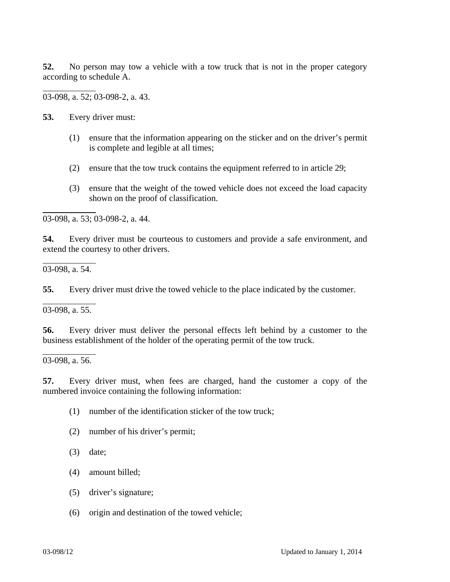**52.** No person may tow a vehicle with a tow truck that is not in the proper category according to schedule A.

03-098, a. 52; 03-098-2, a. 43.

**53.** Every driver must:

 $\overline{a}$ 

 $\overline{a}$ 

 $\overline{a}$ 

 $\overline{a}$ 

 $\overline{a}$ 

- (1) ensure that the information appearing on the sticker and on the driver's permit is complete and legible at all times;
- (2) ensure that the tow truck contains the equipment referred to in article 29;
- (3) ensure that the weight of the towed vehicle does not exceed the load capacity shown on the proof of classification.

03-098, a. 53; 03-098-2, a. 44.

**54.** Every driver must be courteous to customers and provide a safe environment, and extend the courtesy to other drivers.

03-098, a. 54.

**55.** Every driver must drive the towed vehicle to the place indicated by the customer.

03-098, a. 55.

**56.** Every driver must deliver the personal effects left behind by a customer to the business establishment of the holder of the operating permit of the tow truck.

03-098, a. 56.

**57.** Every driver must, when fees are charged, hand the customer a copy of the numbered invoice containing the following information:

- (1) number of the identification sticker of the tow truck;
- (2) number of his driver's permit;
- (3) date;
- (4) amount billed;
- (5) driver's signature;
- (6) origin and destination of the towed vehicle;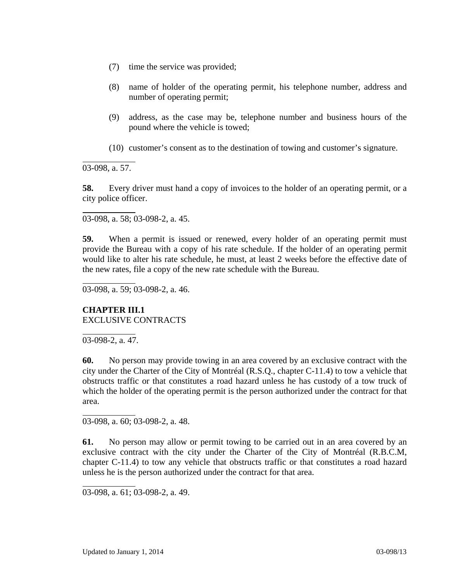- (7) time the service was provided;
- (8) name of holder of the operating permit, his telephone number, address and number of operating permit;
- (9) address, as the case may be, telephone number and business hours of the pound where the vehicle is towed;
- (10) customer's consent as to the destination of towing and customer's signature.

03-098, a. 57.

 $\overline{a}$ 

 $\overline{a}$ 

 $\overline{a}$ 

 $\overline{a}$ 

 $\overline{a}$ 

**58.** Every driver must hand a copy of invoices to the holder of an operating permit, or a city police officer.

03-098, a. 58; 03-098-2, a. 45.

**59.** When a permit is issued or renewed, every holder of an operating permit must provide the Bureau with a copy of his rate schedule. If the holder of an operating permit would like to alter his rate schedule, he must, at least 2 weeks before the effective date of the new rates, file a copy of the new rate schedule with the Bureau.

03-098, a. 59; 03-098-2, a. 46.

# **CHAPTER III.1** EXCLUSIVE CONTRACTS

 $\overline{a}$ 03-098-2, a. 47.

**60.** No person may provide towing in an area covered by an exclusive contract with the city under the Charter of the City of Montréal (R.S.Q., chapter C-11.4) to tow a vehicle that obstructs traffic or that constitutes a road hazard unless he has custody of a tow truck of which the holder of the operating permit is the person authorized under the contract for that area.

03-098, a. 60; 03-098-2, a. 48.

**61.** No person may allow or permit towing to be carried out in an area covered by an exclusive contract with the city under the Charter of the City of Montréal (R.B.C.M, chapter C-11.4) to tow any vehicle that obstructs traffic or that constitutes a road hazard unless he is the person authorized under the contract for that area.

<sup>03-098,</sup> a. 61; 03-098-2, a. 49.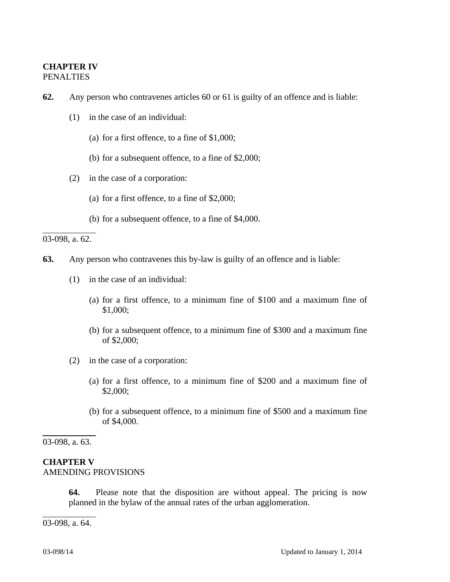## **CHAPTER IV**  PENALTIES

- **62.** Any person who contravenes articles 60 or 61 is guilty of an offence and is liable:
	- (1) in the case of an individual:
		- (a) for a first offence, to a fine of \$1,000;
		- (b) for a subsequent offence, to a fine of \$2,000;
	- (2) in the case of a corporation:
		- (a) for a first offence, to a fine of \$2,000;
		- (b) for a subsequent offence, to a fine of \$4,000.

03-098, a. 62.

 $\overline{a}$ 

- **63.** Any person who contravenes this by-law is guilty of an offence and is liable:
	- (1) in the case of an individual:
		- (a) for a first offence, to a minimum fine of \$100 and a maximum fine of \$1,000;
		- (b) for a subsequent offence, to a minimum fine of \$300 and a maximum fine of \$2,000;
	- (2) in the case of a corporation:
		- (a) for a first offence, to a minimum fine of \$200 and a maximum fine of \$2,000;
		- (b) for a subsequent offence, to a minimum fine of \$500 and a maximum fine of \$4,000.

03-098, a. 63.

 $\overline{a}$ 

 $\overline{a}$ 

### **CHAPTER V**  AMENDING PROVISIONS

**64.** Please note that the disposition are without appeal. The pricing is now planned in the bylaw of the annual rates of the urban agglomeration.

03-098, a. 64.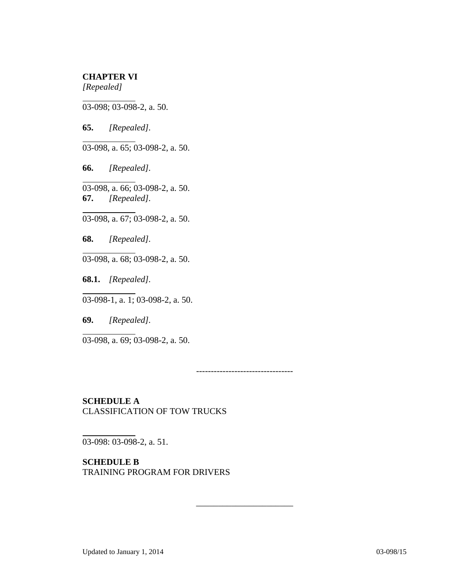### **CHAPTER VI**  *[Repealed]*

 $\overline{a}$ 03-098; 03-098-2, a. 50.

**65.** *[Repealed].* 

 $\overline{a}$ 

 $\overline{a}$ 

 $\overline{a}$ 

 $\overline{a}$ 

 $\overline{a}$ 

 $\overline{a}$ 

 $\overline{a}$ 

03-098, a. 65; 03-098-2, a. 50.

**66.** *[Repealed].*

03-098, a. 66; 03-098-2, a. 50. **67.** *[Repealed].* 

03-098, a. 67; 03-098-2, a. 50.

**68.** *[Repealed].*

03-098, a. 68; 03-098-2, a. 50.

**68.1.** *[Repealed].* 

03-098-1, a. 1; 03-098-2, a. 50.

**69.** *[Repealed].* 

03-098, a. 69; 03-098-2, a. 50.

---------------------------------

\_\_\_\_\_\_\_\_\_\_\_\_\_\_\_\_\_\_\_\_\_\_

**SCHEDULE A**  CLASSIFICATION OF TOW TRUCKS

03-098: 03-098-2, a. 51.

**SCHEDULE B**  TRAINING PROGRAM FOR DRIVERS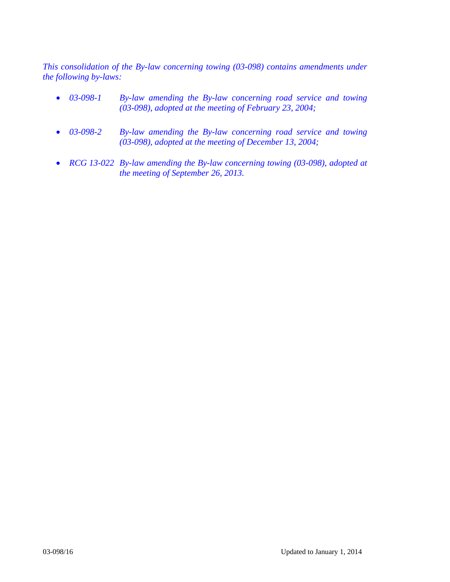*This consolidation of the By-law concerning towing (03-098) contains amendments under the following by-laws:* 

- *03-098-1 By-law amending the By-law concerning road service and towing (03-098), adopted at the meeting of February 23, 2004;*
- *03-098-2 By-law amending the By-law concerning road service and towing (03-098), adopted at the meeting of December 13, 2004;*
- *RCG 13-022 By-law amending the By-law concerning towing (03-098), adopted at the meeting of September 26, 2013.*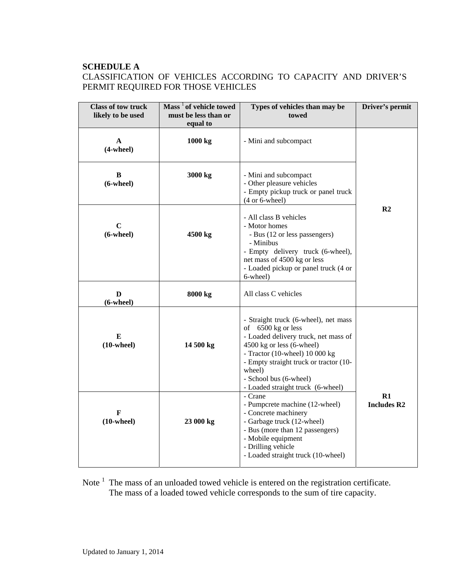## **SCHEDULE A**  CLASSIFICATION OF VEHICLES ACCORDING TO CAPACITY AND DRIVER'S PERMIT REQUIRED FOR THOSE VEHICLES

| <b>Class of tow truck</b><br>likely to be used | Mass <sup>1</sup> of vehicle towed<br>must be less than or<br>equal to | Types of vehicles than may be<br>towed                                                                                                                                                                                                                                                | Driver's permit          |
|------------------------------------------------|------------------------------------------------------------------------|---------------------------------------------------------------------------------------------------------------------------------------------------------------------------------------------------------------------------------------------------------------------------------------|--------------------------|
| A<br>$(4$ -wheel $)$                           | 1000 kg                                                                | - Mini and subcompact                                                                                                                                                                                                                                                                 |                          |
| B<br>$(6$ -wheel $)$                           | 3000 kg                                                                | - Mini and subcompact<br>- Other pleasure vehicles<br>- Empty pickup truck or panel truck<br>$(4 \text{ or } 6$ -wheel)                                                                                                                                                               |                          |
| $\mathbf C$<br>$(6$ -wheel $)$                 | 4500 kg                                                                | - All class B vehicles<br>- Motor homes<br>- Bus (12 or less passengers)<br>- Minibus<br>- Empty delivery truck (6-wheel),<br>net mass of 4500 kg or less<br>- Loaded pickup or panel truck (4 or<br>6-wheel)                                                                         | R <sub>2</sub>           |
| D<br>$(6$ -wheel $)$                           | 8000 kg                                                                | All class C vehicles                                                                                                                                                                                                                                                                  |                          |
| E<br>$(10\text{-wheel})$                       | 14 500 kg                                                              | - Straight truck (6-wheel), net mass<br>of 6500 kg or less<br>- Loaded delivery truck, net mass of<br>4500 kg or less (6-wheel)<br>- Tractor (10-wheel) $10000 kg$<br>- Empty straight truck or tractor (10-<br>wheel)<br>- School bus (6-wheel)<br>- Loaded straight truck (6-wheel) |                          |
| F<br>$(10\text{-wheel})$                       | 23 000 kg                                                              | - Crane<br>- Pumpcrete machine (12-wheel)<br>- Concrete machinery<br>- Garbage truck (12-wheel)<br>- Bus (more than 12 passengers)<br>- Mobile equipment<br>- Drilling vehicle<br>- Loaded straight truck (10-wheel)                                                                  | R1<br><b>Includes R2</b> |

Note  $<sup>1</sup>$  The mass of an unloaded towed vehicle is entered on the registration certificate.</sup> The mass of a loaded towed vehicle corresponds to the sum of tire capacity.